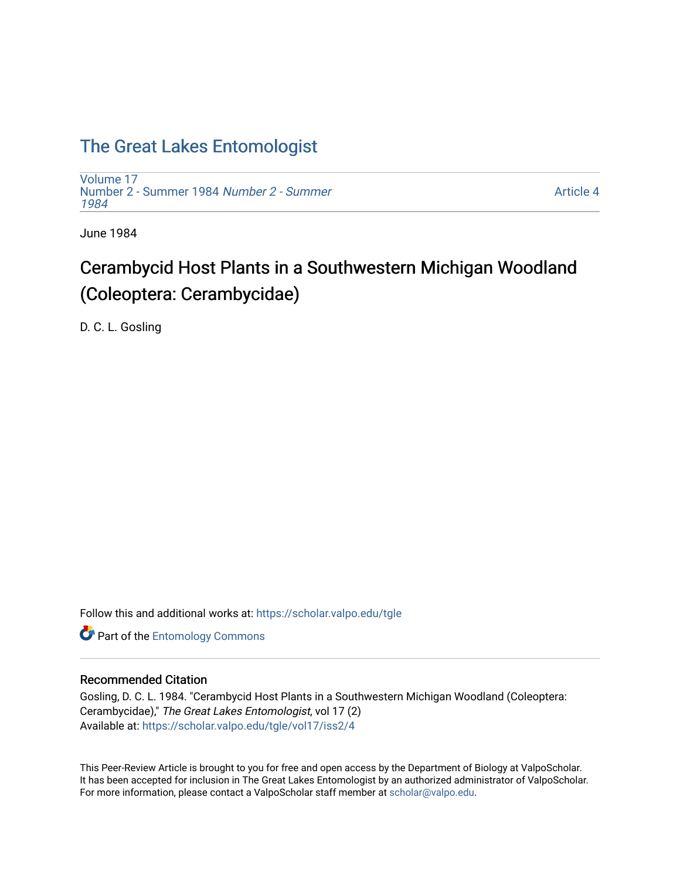# [The Great Lakes Entomologist](https://scholar.valpo.edu/tgle)

[Volume 17](https://scholar.valpo.edu/tgle/vol17) [Number 2 - Summer 1984](https://scholar.valpo.edu/tgle/vol17/iss2) Number 2 - Summer [1984](https://scholar.valpo.edu/tgle/vol17/iss2) 

[Article 4](https://scholar.valpo.edu/tgle/vol17/iss2/4) 

June 1984

# Cerambycid Host Plants in a Southwestern Michigan Woodland (Coleoptera: Cerambycidae)

D. C. L. Gosling

Follow this and additional works at: [https://scholar.valpo.edu/tgle](https://scholar.valpo.edu/tgle?utm_source=scholar.valpo.edu%2Ftgle%2Fvol17%2Fiss2%2F4&utm_medium=PDF&utm_campaign=PDFCoverPages) 

**Part of the Entomology Commons** 

# Recommended Citation

Gosling, D. C. L. 1984. "Cerambycid Host Plants in a Southwestern Michigan Woodland (Coleoptera: Cerambycidae)," The Great Lakes Entomologist, vol 17 (2) Available at: [https://scholar.valpo.edu/tgle/vol17/iss2/4](https://scholar.valpo.edu/tgle/vol17/iss2/4?utm_source=scholar.valpo.edu%2Ftgle%2Fvol17%2Fiss2%2F4&utm_medium=PDF&utm_campaign=PDFCoverPages) 

This Peer-Review Article is brought to you for free and open access by the Department of Biology at ValpoScholar. It has been accepted for inclusion in The Great Lakes Entomologist by an authorized administrator of ValpoScholar. For more information, please contact a ValpoScholar staff member at [scholar@valpo.edu](mailto:scholar@valpo.edu).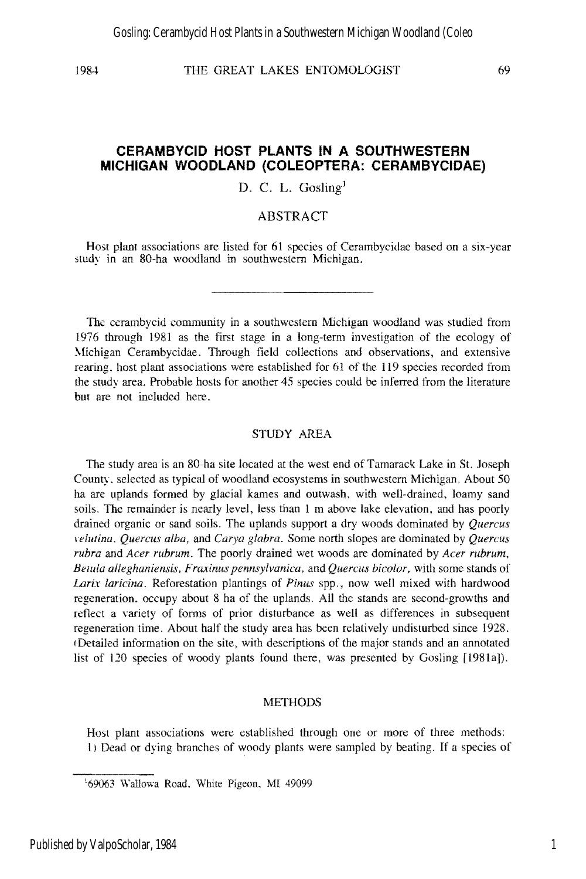# **CERAMBYCID HOST PLANTS IN A SOUTHWESTERN MICHIGAN WOODLAND (COLEOPTERA: CERAMBYCIDAE)**

D. C. L. Gosling<sup>1</sup>

# ABSTRACT

Host plant associations are listed for 61 species of Cerambycidae based on a six-year study in an 80-ha woodland in southwestern Michigan.

The cerambycid community in a southwestern Michigan woodland was studied from 1976 through 1981 as the first stage in a long-term investigation of the ecology of Michigan Cerambycidae. Through field collections and observations, and extensive rearing. host plant associations were established for 61 of the 119 species recorded from the study area. Probable hosts for another 45 species could be inferred from the literature but are not included here.

### STUDY AREA

The study area is an 80-ha site located at the west end of Tamarack Lake in St. Joseph County. selected as typical of woodland ecosystems in southwestern Michigan. About 50 ha are uplands formed by glacial kames and outwash, with well-drained, loamy sand soils. The remainder is nearly level, less than 1 m above lake elevation, and has poorly drained organic or sand soils. The uplands support a dry woods dominated by *Quercus lefutina. Quercus alba,* and *Carya glabra.* Some north slopes are dominated by *Quercus rubra* and *Acer rubrum.* The poorly drained wet woods are dominated by *Acer rubrum, Betula alleghaniensis, Fraxinus pennsylvanica, and Quercus bicolor, with some stands of Larix laricina.* Reforestation plantings of *Pinus* spp., now well mixed with hardwood regeneration. occupy about 8 ha of the uplands. All the stands are second-growths and reflect a variety of forms of prior disturbance as well as differences in subsequent regeneration time. About half the study area has been relatively undisturbed since 1928. (Detailed information on the site, with descriptions of the major stands and an annotated list of 120 species of woody plants found there, was presented by Gosling [1981a]).

## **METHODS**

Host plant associations were cstablished through one or more of three methods: I) Dead or dying branches of woody plants were sampled by beating. If a species of

<sup>&#</sup>x27;69063 Wallowa Road. White Pigeon, MI 49099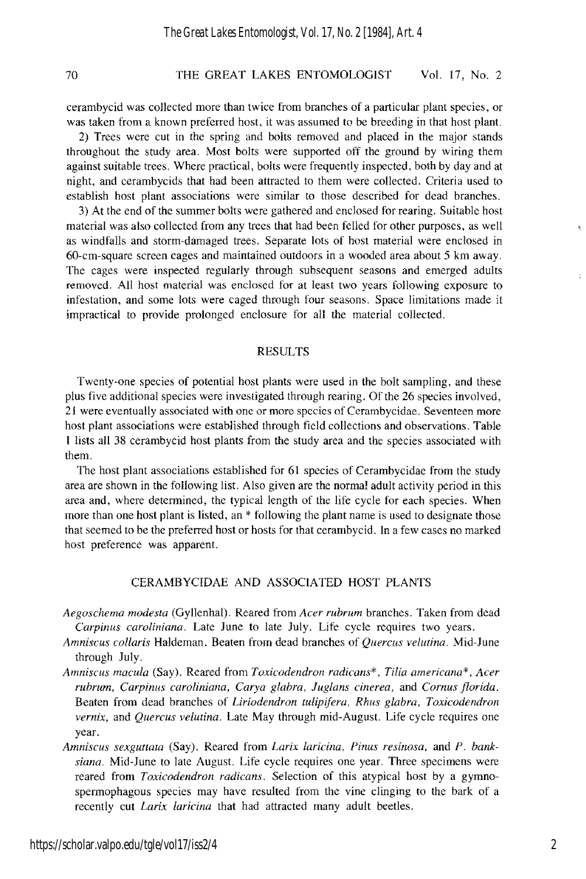cerambycid was collected more than twice from branches of a particular plant species, or was taken from a known preferred host, it was assumed to be breeding in that host plant.

2) Trees were cut in the spring and bolts removed and placed in the major stands throughout the study area. Most bolts were supported off the ground by wiring them against suitable trees. Where practical, bolts were frequently inspected, both by day and at night, and cerambycids that had been attracted to them were collected. Criteria used to establish host plant associations were similar to those described for dead branches.

3) At the end of the summer bolts were gathered and enclosed for rearing. Suitable host material was also collected from any trees that had been felled for other purposes, as well as windfalls and storm-damaged trees. Separate lots of host material were enclosed in 60-cm-square screen cages and maintained outdoors in a wooded area about 5 km away. The cages were inspected regularly through subsequent seasons and emerged adults removed. All host material was enclosed for at least two years following exposure to infestation, and some lots were caged through four seasons. Space limitations made it impractical to provide prolonged enclosure for all the material collected.

### RESULTS

Twenty-one species of potential host plants were used in the bolt sampling, and these plus five additional species were investigated through rearing. Of the 26 species involved, 21 were eventually associated with one or more species of Cerambycidae. Seventeen more host plant associations were established through field collections and observations. Table I lists all 38 cerambycid host plants from the study area and the species associated with them.

The host plant associations established for 61 species of Cerambycidae from the study area are shown in the following list. Also given are the normal adult activity period in this area and, where determined, the typical length of the life cycle for each species. When more than one host plant is listed, an \* following the plant name is used to designate those that seemed to be the preferred host or hosts for that cerambycid. In a few cases no marked host preference was apparent.

# CERAMBYCIDAE AND ASSOCIATED HOST PLANTS

- *Aegoschema modesta* (Gyllenhal). Reared from *Acer rubrum* branches. Taken from dead *Carpinus caroliniana.* Late June to late July. Life cycle requires two years.
- *Amniscus collaris* Haldeman. Beaten from dead branches of *Quercus velutina.* Mid-June through July.
- *Amniscus macula* (Say). Reared from *Toxicodendron radicans\*. TWa americana* \* , *Acer*  rubrum, Carpinus caroliniana, Carya glabra, Juglans cinerea, and Cornus florida. Beaten from dead branches of *Liriodendron tulipifera, Rhus g/abra, Toxicodendron vernix,* and *Quercus velutina.* Late May through mid-August. Life cycle requires one year.
- Amniscus sexguttata (Say). Reared from *Larix laricina*, *Pinus resinosa*, and *P. banksiana.* Mid-June to late August. Life cycle requires one year. Three specimens were reared from *Toxicodendron radicans.* Selection of this atypical host by a gymnospermophagous species may have resulted from the vine clinging to the bark of a recently cut *Larix faricina* that had attracted many adult beetles.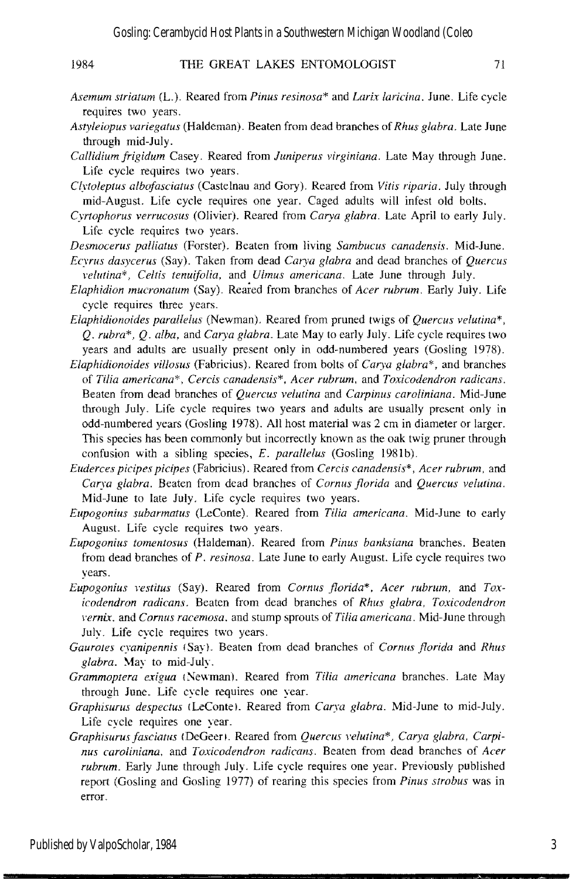- *Asemum striatum* (L). Reared from *Pinus resinosa\** and *Lari.x laricina.* June. Life cycle requires two years.
- *Astyleiopus variegatus* (Haldeman). Beaten from dead branches of *Rhus glabra.* Late June through mid-July.
- *Callidium frigidum* Casey. Reared from *Juniperus virginiana.* Late May through June. Life cycle requires two years.
- *Clytoleptus albofasciatus* (Castelnau and Gory). Reared from *Vitis riparia.* July through mid-August. Life cycle requires one year. Caged adults will infest old bolts.
- *Cyrtophorus verrucosus* (Olivier). Reared from *Carya glabra.* Late April to early July. Life cycle requires two years.
- *Desmocerus palliatus* (Forster). Beaten from living *Sambucus canadensis.* Mid-June.
- *Ecyrus dasycerus* (Say). Taken from dead *Carya glabra* and dead branches of *Quercus veIl/tina"', Celtis tenuifolia,* and *Ulmus americana.* Late June through July.
- *Elaphidion mucronatum* (Say). Reared from branches of *Acer rubrum.* Early July. Life cycle requires three years.
- *Elaphidionoides parallelus* (Newman). Reared from pruned twigs of *Quercus velutina\*, Q. rubra\*, Q. alba,* and *Carya glabra.* Late May to early July. Life cycle requires two years and adults are usually present only in odd-numbered years (Gosling 1978).
- *Elaphidionoides villosus* (Fabricius). Reared from bolts of *Car)'a glabra\*,* and branches of *Tilia americana"', Cercis canadensis"', Acer rubrum,* and *Toxicodendron radicans.*  Beaten from dead branches of *Quercus velutina* and *Carpinus carotiniana.* Mid-June through July. Life cycle requires two years and adults are usually present only in odd-numbered years (Gosling 1978). All host material was 2 cm in diameter or larger. This species has been commonly but incorrectly known as the oak twig pruner through confusion with a sibling species, *E. parallelus* (Gosling 198Ib).
- *Euderces picipes picipes* (Fabricius). Reared from *Cercis canadensis\*, Acer rubrum.* and *Carya glabra.* Beaten from dead branches of *Cornus florida* and *Quercus velutina.*  Mid-June to late July. Life cycle requires two years.
- *Eupogonills subarmatus* (LeConte). Reared from *Tilia americana.* Mid-June to early August. Life cycle requires two years.
- *Eupogonius tomentosus* (Haldeman). Reared from *Pinus banksiana* branches. Beaten from dead branches of *P. resinosa.* Late June to early August. Life cycle requires two years.
- *Eupogonius vestitus* (Say). Reared from *Cornus florida\*, Acer rubrum, and Tox-*July. Life cycle requires two years. vernix, and Cornus racemosa, and stump sprouts of Tilia americana. Mid-June through *icodendron radicans.*  Beaten from dead branches of *Rhus glabra, Toxicodendron*
- Gaurotes cyanipennis (Say). Beaten from dead branches of *Cornus florida* and Rhus glabra. May to mid-July.
- *Grammoptera exigua* (Newman). Reared from *Tilia americana* branches. Late May through June. Life cycle requires one year.
- *Graphisums despectlls* [LeConte!. Reared from *Carya glabra.* Mid-June to mid-July. Life cycle requires one year.
- *Graphisurus fasciatus* (DeGeer). Reared from *Quercus velutina\*, Carya glabra, Carpinus caroliniana,*  and *Toxicodendron radicans.*  Beaten from dead branches of *Acer rubrum.* Early June through July. Life cycle requires one year. Previously published report (Gosling and Gosling 1977) of rearing this species from *Pinus strobus* was in error.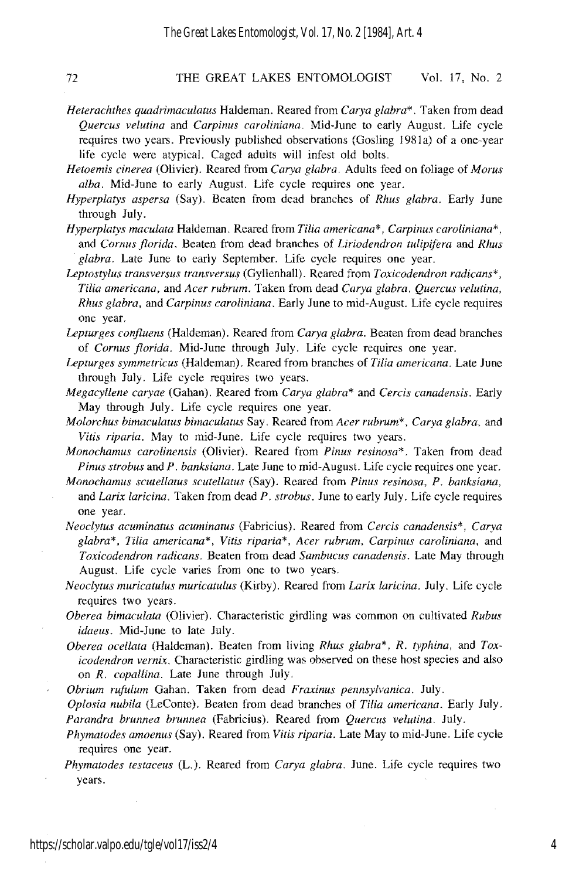- *Heterachthes quadrimacuiatus* Haldeman. Reared from *Carya giabra\*.* Taken from dead *Quercus velutina* and *Carpinus caroiiniana.* Mid-June to early August. Life cycle requires two years. Previously published observations (Gosling 1981a) of a one-year life cycle were atypical. Caged adults will infest old bolts.
- *Hetoemis cinerea* (Olivier). Reared from *Carya giabra.* Adults feed on foliage of *Morus alba.* Mid-June to early August. Life cycle requires one year.
- *Hyperpiatys aspers'a* (Say). Beaten from dead branches of *Rhus glabra.* Early June through luly.
- *Hyperplatys maculata* Haldeman. Reared from *Tilia americana\*, Carpinus caroliniana\**, and *Cornus florida.* Beaten from dead branches of *Liriodendron tulipifera* and *Rhus giabra.* Late lune to early September. Life cycle requires one year.
- *Leptostylus transversus transversus* (Gyllenhall). Reared from *Toxicodendron radicans\*, Tilia americana, and Acer rubrum.* Taken from dead *Carya glabra. Quercus velutina*, *Rhus giabra.* and *Carpinus caroliniana.* Early June to mid-August. Life cycle requires one year.
- Lepturges confluens (Haldeman). Reared from *Carya glabra*. Beaten from dead branches of *Cornus florida.* Mid-June through July. Life cycle requires one year.
- Lepturges symmetricus (Haldeman). Reared from branches of *Tilia americana*. Late June through July. Life cycle requires two years.
- *Megacyllene caryae* (Gahan). Reared from *Carya giabra\** and *Cercis canadensis.* Early May through July. Life cycle requires one year.
- *Molorchus bimaculatus bimaculatus Say. Reared from <i>Acer rubrum<sup>\*</sup>, Carya glabra, and Vitis riparia.* May to mid-June. Life cycle requires two years.
- *Monochamus carolinensis* (Olivier). Reared from *Pinus resinosa\*.* Taken from dead *Pinus strobus* and *P. banksiana.* Late June to mid-August. Life cycle requires one year.
- *Monochamus scutellatus scutellatus* (Say). Reared from *Pinus resinosa, P. banksiana,*  and *Larix iaricina.* Taken from dead *P. strobus.* June to early July. Life cycle requires one year.
- *Neociytus acuminatus acuminatus* (Fabricius). Reared from *Cercis canadensis\*, Carya*  glabra\*, Tilia americana\*, Vitis riparia\*, Acer rubrum, Carpinus caroliniana, and *Toxicodendron radicans.* Beaten from dead *Sambucus canadensis.* Late May through August. Life cycle varies from one to two years.
- *Neociytus muricatuius muricatulus* (Kirby). Reared from *Larix laricina.* luly. Life cycle requires two years.
- *Oberea bimacuiata* (Olivier). Characteristic girdling was common on cultivated *Rubus idaeus.* Mid-June to late July.
- *Oberea ocellata* (Haldeman). Beaten from living *Rhus giabra\*', R. typhina,* and *Toxicodendron vernix.* Characteristic girdling was observed on these host species and also on *R. copallina.* Late lune through July.
- *Obrium rufulum* Gahan. Taken from dead *Fraxinus pellnsylvanica.* luly.

*Oplosia nubila* (LeConte). Beaten from dead branches of *Tilia americana.* Early luly. *Parandra brunnea brunnea* (Fabricius). Reared from *Quercus velutina.* July.

- *Phymatodes amoenus* (Say). Reared from *Vitis riparia.* Late May to mid-lune. Life cycle requires one year.
- *Phymatodes testaceus* (L.). Reared from *Carya glabra.* June. Life cycle requires two years.

4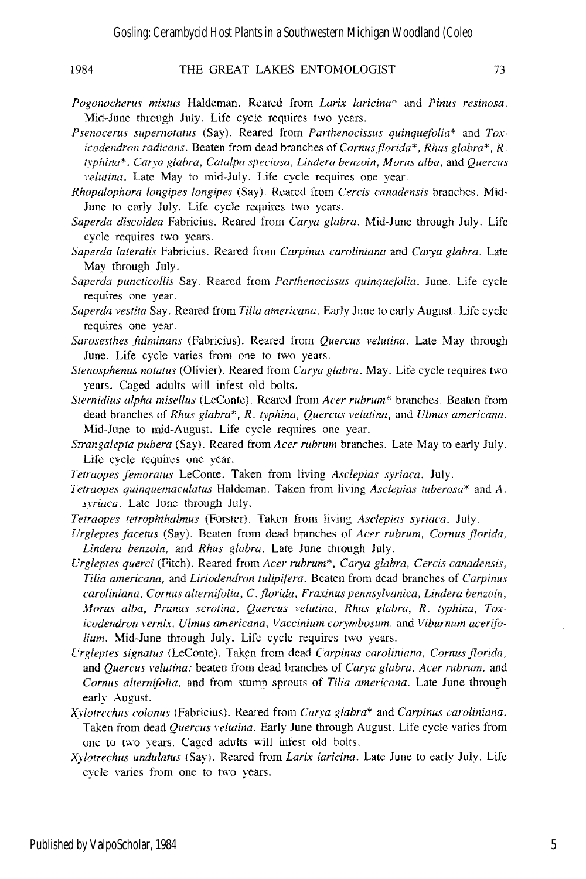# 1984 THE GREAT LAKES ENTOMOLOGIST 73

- 
- *Pogonocherus mixtus* Haldeman. Reared from *Larix laricina\** and *Pinus resinosa*. Mid-June through July. Life cycle requires two years.
- *Psenocerus supernotatus* (Say). Reared from *Parthenocissus quinquejolia\** and *Toxicodendron radicans.* Beaten from dead branches of *Cornus florida\*, Rhus glabra\*, R. typhina\*. CaT)'a glabra. Catalpa speciosa. Lindera benzoin, Morus alba.* and *Quercus velutina.* Late May to mid-July. Life cycle requires one year.
- *Rhopalophora longipes longipes* (Say). Reared from *Cercis canadensis* branches. Mid-June to early July. Life cycle requires two years.
- *Saperda discoidea* Fabricius. Reared from *Carya glabra.* Mid-June through July. Life cycle requires two years.
- *Saperda lateralis* Fabricius. Reared from *Carpinus caroliniana* and *Carya glabra.* Late May through July.
- *Saperda puncticollis* Say. Reared from *Parthenodssus quinquejolia.* June. Life cycle requires one year.
- *Saperda vestita* Say. Reared from *Tilia americana.* Early June to early August. Life cycle requires one year.
- *Sarosesthes julminans* (Fabricius). Reared from *Quercus velutina.* Late May through June. Life cycle varies from one to two years.
- *Stenosphenus notatus* (Olivier). Reared from *Carya glabra.* May. Life cycle requires two years. Caged adults will infest old bolts.
- *Sternidius alpha misellus* (LeConte). Reared from *Acer rubrum\** branches. Beaten from dead branches of *Rhus glabra\*, R. typhina, Quercus velutina,* and *Ulmus americana.*  Mid-June to mid-August. Life cycle requires one year.
- *Strangalepta pubera* (Say). Reared from *Acer rubrum* branches. Late May to early July. Life cycle requires one year.
- *Tetraopes jemoratus* LeConte. Taken from living *Asclepias syriaca.* July.
- *Tetraopes quinquemaculatus* Haldeman. Taken from living *Asclepias tuberosa\** and *A. syriaca.* Late June through July.
- *Tetraopes tetrophthalmus* (Forster). Taken from living *Asclepias syriaca.* July.
- *Urgleptes facetus* (Say). Beaten from dead branches of *Acer rubrum, Cornus florida*, *Lindera benzoin.* and *Rhus glabra.* Late June through July.
- *Urgleptes querd* (Fitch). Reared from *Acer rubrum\*, Carya glabra, Cercis canadensis, Tilia americana, and Liriodendron tulipifera.* Beaten from dead branches of *Carpinus carolinian a* , *Comus alternifolia,* C. *florida, Fraxinus pennsylvanica, Lindera benzoin, '\lorus alba, Prunus serotina. Quercus velutina. Rhus glabra, R. typhina, Tox*icodendron vernix, Ulmus americana, Vaccinium corymbosum, and Viburnum acerifolium. Mid-June through July. Life cycle requires two years.
- $U$ rgleptes signatus (LeConte). Taken from dead *Carpinus caroliniana, Cornus florida*, and *Quercus velutina*; beaten from dead branches of *Carva glabra, Acer rubrum*, and *Comus alternifolia.* and from stump sprouts of *Tilia americana.* Late June through early August.
- *Xylotrechlls colonus* IFabricius). Reared from *CaT)'a glabra\** and *Carpinus caroliniana.*  Taken from dead *Quercus velutina*. Early June through August. Life cycle varies from one to two years. Caged adults will infest old holts.
- *Xylotrechlls undulatus* (Sayl. Reared from *Larix laridna.* Late June to early July. Life cycle varies from one to two years.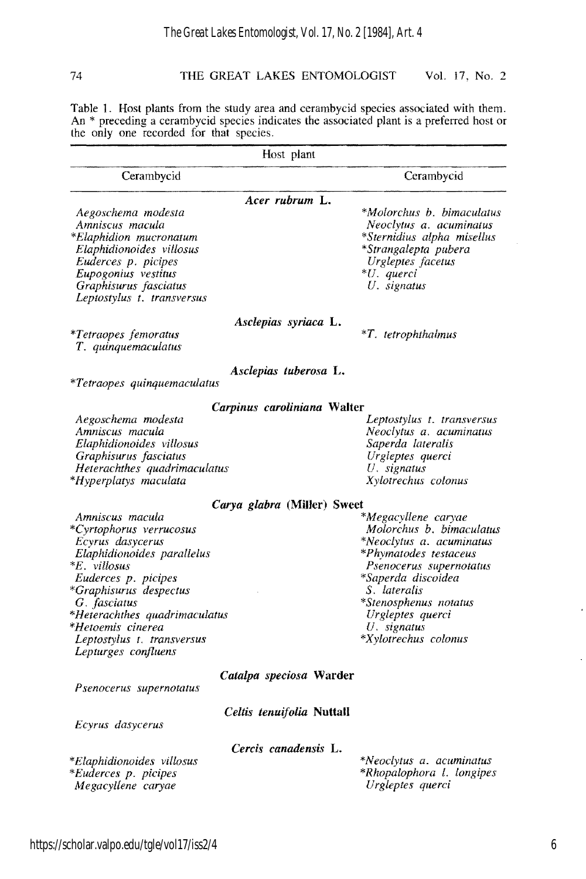Table 1. Host plants from the study area and cerambycid species associated with them. An \* preceding a cerambycid species indicates the associated plant is a preferred host or the only one recorded for that species.

| Host plant                                                                                                         |                                                                                                                                 |  |  |
|--------------------------------------------------------------------------------------------------------------------|---------------------------------------------------------------------------------------------------------------------------------|--|--|
| Cerambycid                                                                                                         | Cerambycid                                                                                                                      |  |  |
| Acer rubrum L.                                                                                                     |                                                                                                                                 |  |  |
| Aegoschema modesta<br>Amniscus macula<br>*Elaphidion mucronatum<br>Elaphidionoides villosus<br>Euderces p. picipes | *Molorchus b. bimaculatus<br>Neoclytus a. acuminatus<br>*Sternidius alpha misellus<br>*Strangalepta pubera<br>Urgleptes facetus |  |  |
| Eupogonius vestitus<br>Graphisurus fasciatus<br>Leptostylus t. transversus                                         | *U. querci<br>U. signatus                                                                                                       |  |  |
| Asclepias syriaca L.                                                                                               |                                                                                                                                 |  |  |
| <i>*Tetraopes femoratus</i><br>T. quinquemaculatus                                                                 | $*T$ . tetrophthalmus                                                                                                           |  |  |
| Asclepias tuberosa L.<br>*Tetraopes quinquemaculatus                                                               |                                                                                                                                 |  |  |
|                                                                                                                    |                                                                                                                                 |  |  |
| Carpinus caroliniana Walter                                                                                        |                                                                                                                                 |  |  |
| Aegoschema modesta<br>Amniscus macula                                                                              | Leptostylus t. transversus<br>Neoclytus a. acuminatus                                                                           |  |  |
| Elaphidionoides villosus                                                                                           | Saperda lateralis                                                                                                               |  |  |
| Graphisurus fasciatus                                                                                              | Urgleptes querci                                                                                                                |  |  |
| Heterachthes quadrimaculatus                                                                                       | U. signatus                                                                                                                     |  |  |
| *Hyperplatys maculata                                                                                              | Xylotrechus colonus                                                                                                             |  |  |
| Carya glabra (Miller) Sweet                                                                                        |                                                                                                                                 |  |  |
| Amniscus macula                                                                                                    | *Megacyllene caryae                                                                                                             |  |  |
| *Cyrtophorus verrucosus                                                                                            | Molorchus b. bimaculatus                                                                                                        |  |  |
| Ecyrus dasycerus                                                                                                   | *Neoclytus a. acuminatus                                                                                                        |  |  |
| Elaphidionoides parallelus                                                                                         | *Phymatodes testaceus                                                                                                           |  |  |
| <i>*E. villosus</i>                                                                                                | Psenocerus supernotatus                                                                                                         |  |  |
| Euderces p. picipes                                                                                                | *Saperda discoidea                                                                                                              |  |  |
| *Graphisurus despectus                                                                                             | S. lateralis                                                                                                                    |  |  |
| G. fasciatus                                                                                                       | *Stenosphenus notatus                                                                                                           |  |  |
| *Heterachthes quadrimaculatus                                                                                      | Urgleptes querci                                                                                                                |  |  |
| *Hetoemis cinerea                                                                                                  | $U$ . signatus                                                                                                                  |  |  |
| Leptostylus t. transversus                                                                                         | *Xylotrechus colonus                                                                                                            |  |  |
| Lepturges confluens                                                                                                |                                                                                                                                 |  |  |
| Catalpa speciosa Warder<br>Psenocerus supernotatus                                                                 |                                                                                                                                 |  |  |
|                                                                                                                    |                                                                                                                                 |  |  |
| <i>Celtis tenuifolia</i> Nuttall<br>Ecyrus dasycerus                                                               |                                                                                                                                 |  |  |
| Cercis canadensis L.                                                                                               |                                                                                                                                 |  |  |
| *Elaphidionoides villosus                                                                                          | *Neoclytus a. acuminatus                                                                                                        |  |  |
| *Euderces p. picipes                                                                                               | *Rhopalophora 1. longipes                                                                                                       |  |  |
| Megacyllene caryae                                                                                                 | Urgleptes querci                                                                                                                |  |  |
|                                                                                                                    |                                                                                                                                 |  |  |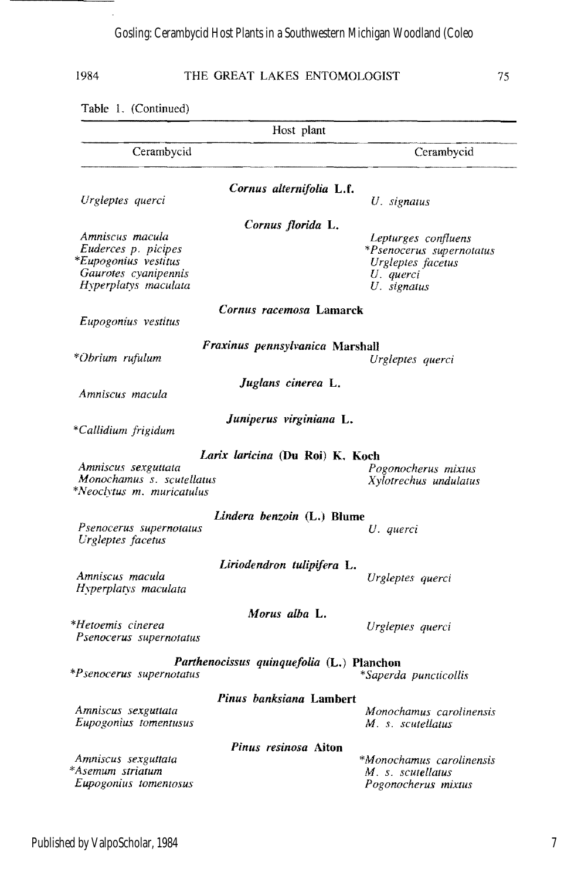l,

1984 THE GREAT LAKES ENTOMOLOGIST 75

|                                                  | Host plant               |
|--------------------------------------------------|--------------------------|
|                                                  |                          |
| Cerambycid                                       | Cerambycid               |
| Cornus alternifolia L.f.                         |                          |
| Urgleptes querci                                 | U. signatus              |
| Cornus florida L.                                |                          |
| Amniscus macula                                  | Lepturges confluens      |
| Euderces p. picipes                              | *Psenocerus supernotatus |
| *Eupogonius vestitus                             | Urgleptes facetus        |
| Gaurotes cyanipennis                             | U. querci                |
| Hyperplatys maculata                             | U. signatus              |
| Cornus racemosa Lamarck                          |                          |
| Eupogonius vestitus                              |                          |
| Fraxinus pennsylvanica Marshall                  |                          |
| *Obrium rufulum                                  | Urgleptes querci         |
| Juglans cinerea L.                               |                          |
| Amniscus macula                                  |                          |
| Juniperus virginiana L.                          |                          |
| *Callidium frigidum                              |                          |
| Larix laricina (Du Roi) K. Koch                  |                          |
| Amniscus sexguttata                              | Pogonocherus mixtus      |
| Monochamus s. scutellatus                        | Xylotrechus undulatus    |
| *Neoclytus m. muricatulus                        |                          |
| Lindera benzoin (L.) Blume                       |                          |
| Psenocerus supernotatus                          | U. querci                |
| Urgleptes facetus                                |                          |
| Liriodendron tulipifera L.                       |                          |
| Amniscus macula                                  | Urgleptes querci         |
| Hyperplatys maculata                             |                          |
| Morus alba L.                                    |                          |
| *Hetoemis cinerea                                | Urgleptes querci         |
| Psenocerus supernotatus                          |                          |
| <i>Parthenocissus quinquefolia (L.)</i> Planchon |                          |
| *Psenocerus supernotatus                         | *Saperda puncticollis    |
| Pinus banksiana Lambert                          |                          |
| Amniscus sexguttata                              | Monochamus carolinensis  |
| <i>Eupogonius tomentusus</i>                     | M. s. scutellatus        |
| Pinus resinosa Aiton                             |                          |
| Amniscus sexguttata                              | *Monochamus carolinensis |
| *Asemum striatum                                 | M. s. scutellatus        |
| Eupogonius tomentosus                            | Pogonocherus mixtus      |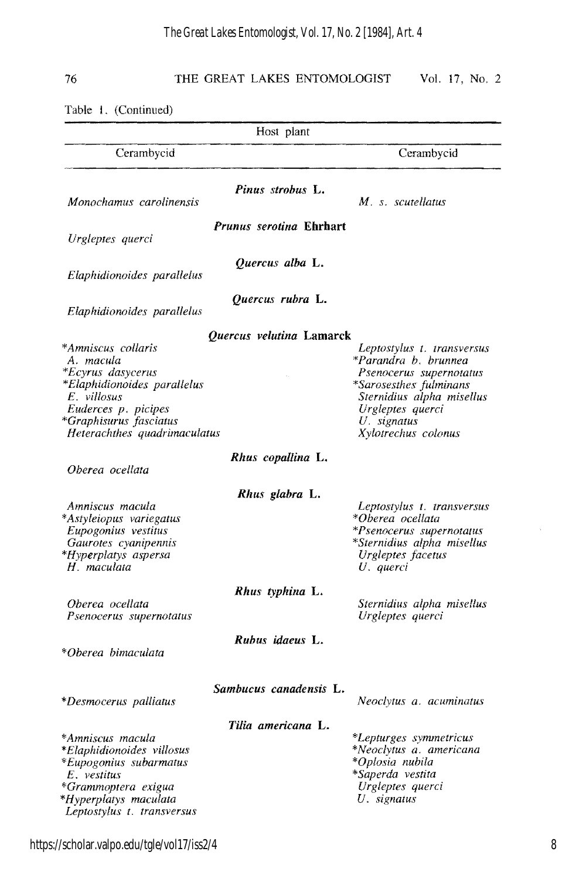Table I. (Continued)

| Host plant                                                                                                                                                                                 |                                |                                                                                                                                                                                                |
|--------------------------------------------------------------------------------------------------------------------------------------------------------------------------------------------|--------------------------------|------------------------------------------------------------------------------------------------------------------------------------------------------------------------------------------------|
| Cerambycid                                                                                                                                                                                 |                                | Cerambycid                                                                                                                                                                                     |
| Monochamus carolinensis                                                                                                                                                                    | Pinus strobus L.               | M. s. scutellatus                                                                                                                                                                              |
| Urgleptes querci                                                                                                                                                                           | <i>Prunus serotina</i> Ehrhart |                                                                                                                                                                                                |
| Elaphidionoides parallelus                                                                                                                                                                 | Quercus alba L.                |                                                                                                                                                                                                |
| Elaphidionoides parallelus                                                                                                                                                                 | Quercus rubra L.               |                                                                                                                                                                                                |
| *Amniscus collaris<br>A. macula<br><i>*Ecyrus dasycerus</i><br>*Elaphidionoides parallelus<br>E. villosus<br>Euderces p. picipes<br>*Graphisurus fasciatus<br>Heterachthes quadrimaculatus | Quercus velutina Lamarck       | Leptostylus t. transversus<br>*Parandra b. brunnea<br>Psenocerus supernotatus<br>*Sarosesthes fulminans<br>Sternidius alpha misellus<br>Urgleptes querci<br>U. signatus<br>Xylotrechus colonus |
| Oberea ocellata                                                                                                                                                                            | Rhus copallina L.              |                                                                                                                                                                                                |
| Amniscus macula<br>*Astyleiopus variegatus<br>Eupogonius vestitus<br>Gaurotes cyanipennis<br>*Hyperplatys aspersa<br>$H$ . maculata                                                        | Rhus glabra L.                 | Leptostylus t. transversus<br>*Oberea ocellata<br>*Psenocerus supernotatus<br>*Sternidius alpha misellus<br>Urgleptes facetus<br>U. querci                                                     |
| Oberea ocellata<br>Psenocerus supernotatus                                                                                                                                                 | Rhus typhina L.                | Sternidius alpha misellus<br>Urgleptes querci                                                                                                                                                  |
| *Oberea bimaculata                                                                                                                                                                         | Rubus idaeus L.                |                                                                                                                                                                                                |
| *Desmocerus palliatus                                                                                                                                                                      | Sambucus canadensis L.         | Neoclytus a. acuminatus                                                                                                                                                                        |
| *Amniscus macula<br>*Elaphidionoides villosus<br>*Eupogonius subarmatus<br>$E.$ vestitus<br>*Grammoptera exigua<br>*Hyperplatys maculata<br>Leptostylus t. transversus                     | Tilia americana L.             | *Lepturges symmetricus<br>*Neoclytus a. americana<br>*Oplosia nubila<br>*Saperda vestita<br>Urgleptes querci<br>U. signatus                                                                    |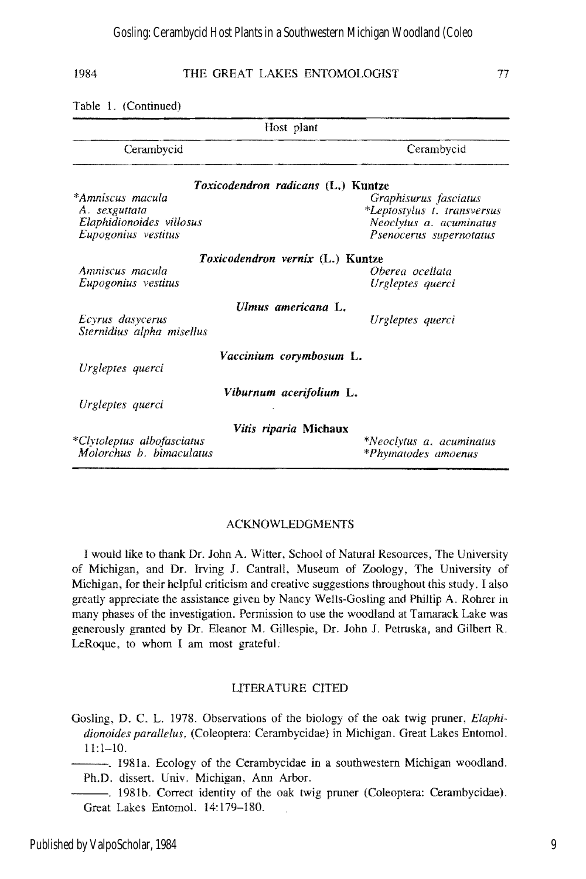### 1984 THE GREAT LAKES ENTOMOLOGIST 77

| Host plant                                                                           |                                                                                                            |  |  |
|--------------------------------------------------------------------------------------|------------------------------------------------------------------------------------------------------------|--|--|
| Cerambycid                                                                           | Cerambycid                                                                                                 |  |  |
|                                                                                      | <i>Toxicodendron radicans</i> (L.) Kuntze                                                                  |  |  |
| *Amniscus macula<br>A. sexguttata<br>Elaphidionoides villosus<br>Eupogonius vestitus | Graphisurus fasciatus<br>*Leptostylus t. transversus<br>Neoclytus a. acuminatus<br>Psenocerus supernotatus |  |  |
| Amniscus macula<br>Eupogonius vestitus                                               | Toxicodendron vernix (L.) Kuntze<br>Oberea ocellata<br>Urgleptes querci                                    |  |  |
| Ecyrus dasycerus<br>Sternidius alpha misellus                                        | Ulmus americana L.<br>Urgleptes querci                                                                     |  |  |
| Urgleptes querci                                                                     | Vaccinium corymbosum L.                                                                                    |  |  |
| Urgleptes querci                                                                     | Viburnum acerifolium L.                                                                                    |  |  |
| *Clytoleptus albofasciatus<br>Molorchus b. bimaculatus                               | <i>Vitis riparia</i> Michaux<br>*Neoclytus a. acuminatus<br>*Phymatodes amoenus                            |  |  |

## ACKNOWLEDGMENTS

I would like to thank Dr. 10hn A. Witter, School of Natural Resources, The University of Michigan, and Dr. Irving 1. Cantrall, Museum of Zoology, The University of Michigan, for their helpful criticism and creative suggestions throughout this study. I also greatly appreciate the assistance given by Nancy Wells-Gosling and Phillip A. Rohrer in many phases of the investigation. Permission to use the woodland at Tamarack Lake was generously granted by Dr. Eleanor M. Gillespie, Dr. 10hn 1. Petruska, and Gilbert R. LeRoque, to whom I am most grateful.

## LITERATURE CITED

- Gosling, D. C. L. 1978. Observations of the biology of the oak twig pruner, *Elaphi*dionoides parallelus, (Coleoptera: Cerambycidae) in Michigan. Great Lakes Entomol. 11:1-10.
- Ph.D. dissert. Univ. Michigan, Ann Arbor. I981a. Ecology of the Cerambycidae in a southwestern Michigan woodland.
- ----. 1981b. Correct identity of the oak twig pruner (Coleoptera: Cerambycidae). Great Lakes Entomo!. 14: 179-180.